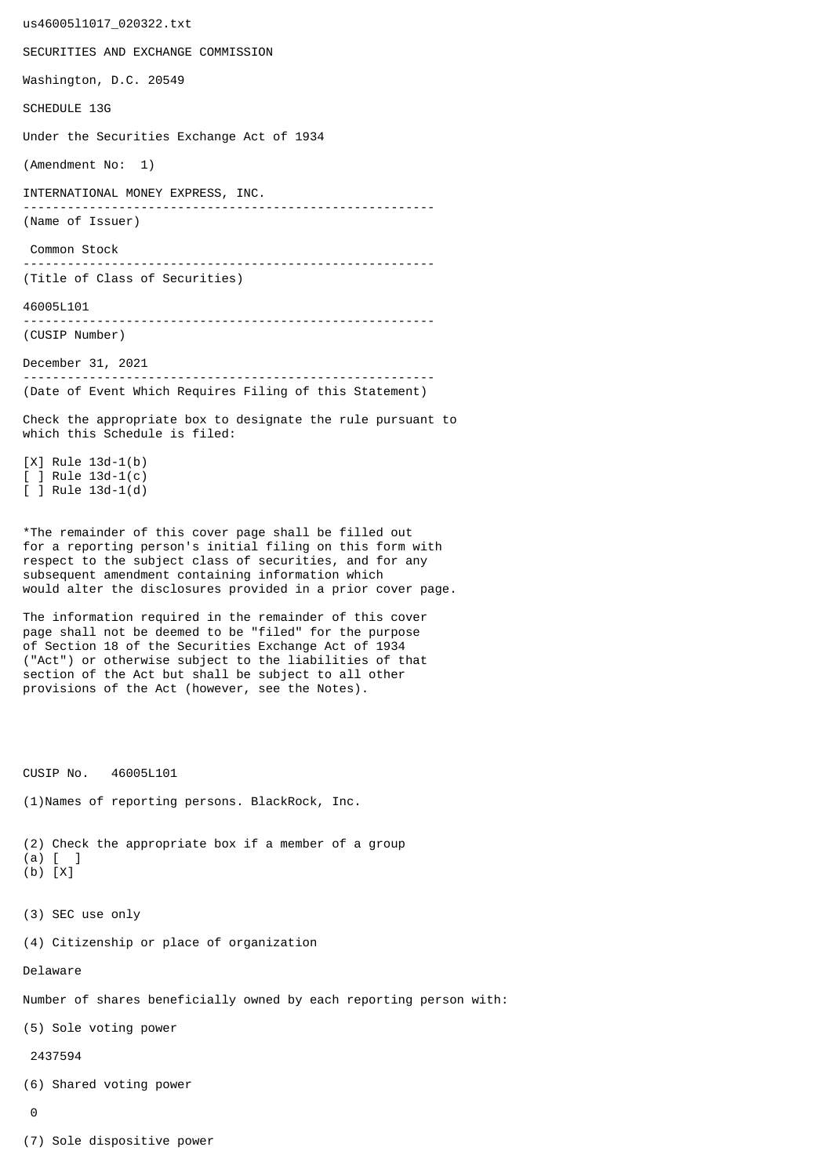us46005l1017\_020322.txt SECURITIES AND EXCHANGE COMMISSION Washington, D.C. 20549 SCHEDULE 13G Under the Securities Exchange Act of 1934 (Amendment No: 1) INTERNATIONAL MONEY EXPRESS, INC. -------------------------------------------------------- (Name of Issuer) Common Stock -------------------------------------------------------- (Title of Class of Securities) 46005L101 -------------------------------------------------------- (CUSIP Number) December 31, 2021 -------------------------------------------------------- (Date of Event Which Requires Filing of this Statement) Check the appropriate box to designate the rule pursuant to which this Schedule is filed: [X] Rule 13d-1(b) [ ] Rule 13d-1(c) [ ] Rule 13d-1(d) \*The remainder of this cover page shall be filled out for a reporting person's initial filing on this form with respect to the subject class of securities, and for any subsequent amendment containing information which would alter the disclosures provided in a prior cover page. The information required in the remainder of this cover page shall not be deemed to be "filed" for the purpose of Section 18 of the Securities Exchange Act of 1934 ("Act") or otherwise subject to the liabilities of that section of the Act but shall be subject to all other provisions of the Act (however, see the Notes). CUSIP No. 46005L101 (1)Names of reporting persons. BlackRock, Inc. (2) Check the appropriate box if a member of a group (a) [ ] (b) [X] (3) SEC use only (4) Citizenship or place of organization Delaware Number of shares beneficially owned by each reporting person with: (5) Sole voting power 2437594 (6) Shared voting power  $\Omega$ 

(7) Sole dispositive power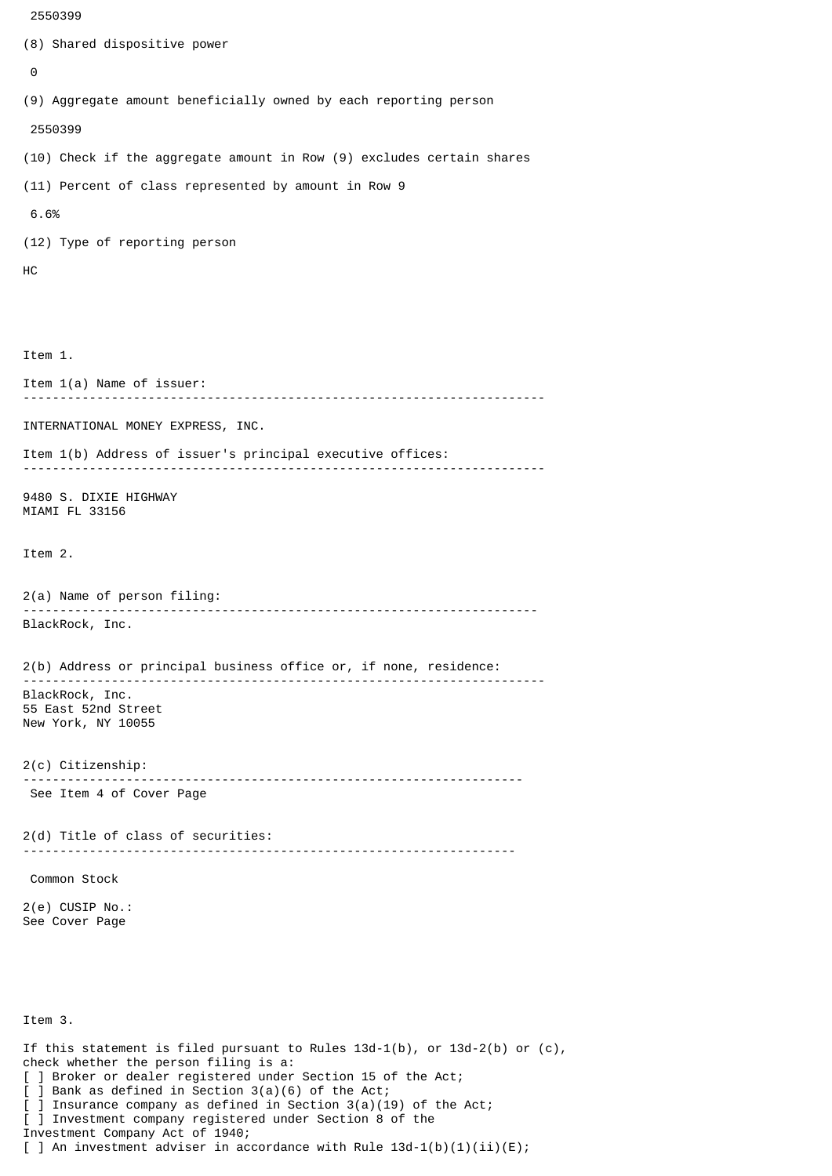```
 2550399
(8) Shared dispositive power
 \boldsymbol{\Theta}(9) Aggregate amount beneficially owned by each reporting person
  2550399
(10) Check if the aggregate amount in Row (9) excludes certain shares
(11) Percent of class represented by amount in Row 9
 6.6%
(12) Type of reporting person
HC
Item 1.
Item 1(a) Name of issuer:
           -----------------------------------------------------------------------
INTERNATIONAL MONEY EXPRESS, INC.
Item 1(b) Address of issuer's principal executive offices:
-----------------------------------------------------------------------
9480 S. DIXIE HIGHWAY
MIAMI FL 33156
Item 2.
2(a) Name of person filing:
               ----------------------------------------------------------------------
BlackRock, Inc.
2(b) Address or principal business office or, if none, residence:
 -----------------------------------------------------------------------
BlackRock, Inc.
55 East 52nd Street
New York, NY 10055
2(c) Citizenship:
                             --------------------------------------------------------------------
 See Item 4 of Cover Page
2(d) Title of class of securities:
                                       -------------------------------------------------------------------
 Common Stock
2(e) CUSIP No.:
See Cover Page
Item 3.
If this statement is filed pursuant to Rules 13d-1(b), or 13d-2(b) or (c),
check whether the person filing is a:
```
<sup>[ ]</sup> Broker or dealer registered under Section 15 of the Act;

<sup>[ ]</sup> Bank as defined in Section 3(a)(6) of the Act;

<sup>]</sup> Insurance company as defined in Section  $3(a)(19)$  of the Act;

<sup>[ ]</sup> Investment company registered under Section 8 of the

Investment Company Act of 1940;

<sup>[ ]</sup> An investment adviser in accordance with Rule  $13d-1(b)(1)(ii)(E)$ ;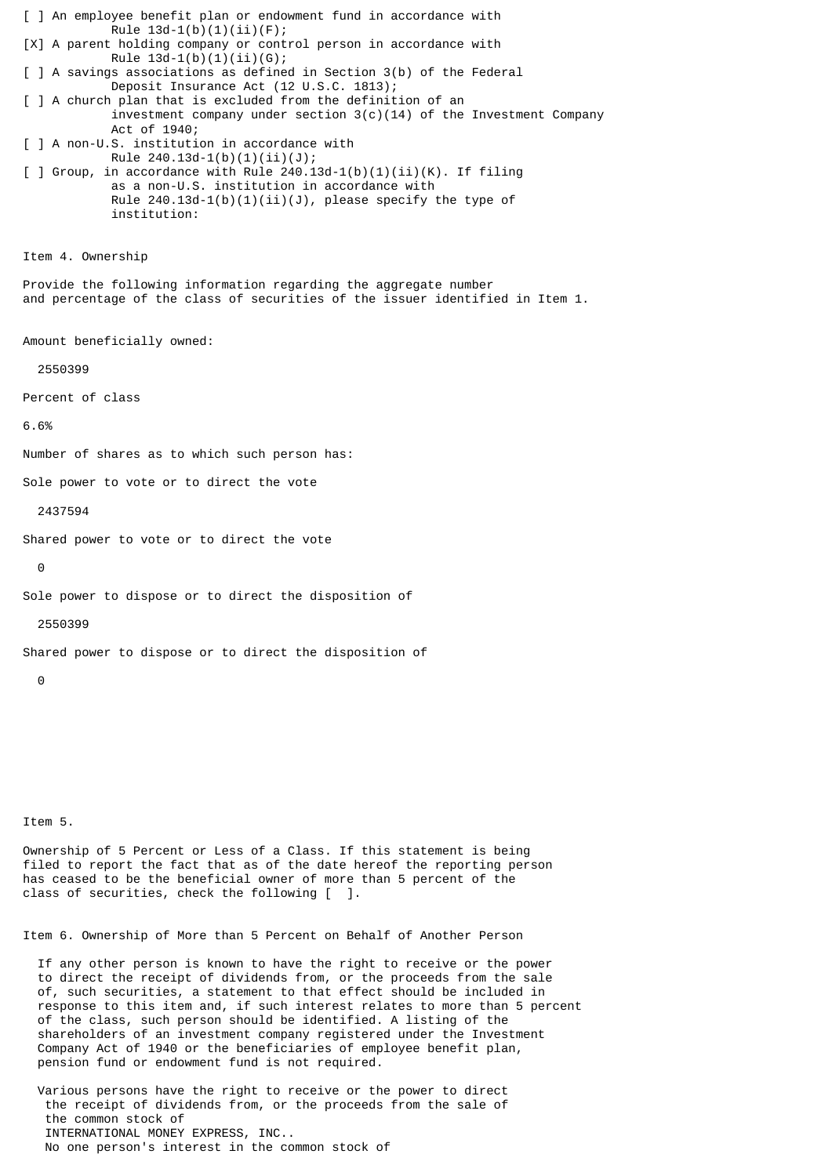[ ] An employee benefit plan or endowment fund in accordance with Rule  $13d-1(b)(1)(ii)(F);$ [X] A parent holding company or control person in accordance with Rule  $13d-1(b)(1)(ii)(G);$ [ ] A savings associations as defined in Section 3(b) of the Federal Deposit Insurance Act (12 U.S.C. 1813); [ ] A church plan that is excluded from the definition of an investment company under section  $3(c)(14)$  of the Investment Company Act of 1940; [ ] A non-U.S. institution in accordance with Rule  $240.13d-1(b)(1)(ii)(J);$  $\lceil$  ] Group, in accordance with Rule 240.13d-1(b)(1)(ii)(K). If filing as a non-U.S. institution in accordance with Rule  $240.13d-1(b)(1)(ii)(J)$ , please specify the type of institution: Item 4. Ownership Provide the following information regarding the aggregate number and percentage of the class of securities of the issuer identified in Item 1. Amount beneficially owned: 2550399 Percent of class 6.6% Number of shares as to which such person has: Sole power to vote or to direct the vote 2437594 Shared power to vote or to direct the vote  $\Theta$ Sole power to dispose or to direct the disposition of 2550399 Shared power to dispose or to direct the disposition of  $\Omega$ 

Item 5.

Ownership of 5 Percent or Less of a Class. If this statement is being filed to report the fact that as of the date hereof the reporting person has ceased to be the beneficial owner of more than 5 percent of the class of securities, check the following [ ].

Item 6. Ownership of More than 5 Percent on Behalf of Another Person

 If any other person is known to have the right to receive or the power to direct the receipt of dividends from, or the proceeds from the sale of, such securities, a statement to that effect should be included in response to this item and, if such interest relates to more than 5 percent of the class, such person should be identified. A listing of the shareholders of an investment company registered under the Investment Company Act of 1940 or the beneficiaries of employee benefit plan, pension fund or endowment fund is not required.

 Various persons have the right to receive or the power to direct the receipt of dividends from, or the proceeds from the sale of the common stock of INTERNATIONAL MONEY EXPRESS, INC.. No one person's interest in the common stock of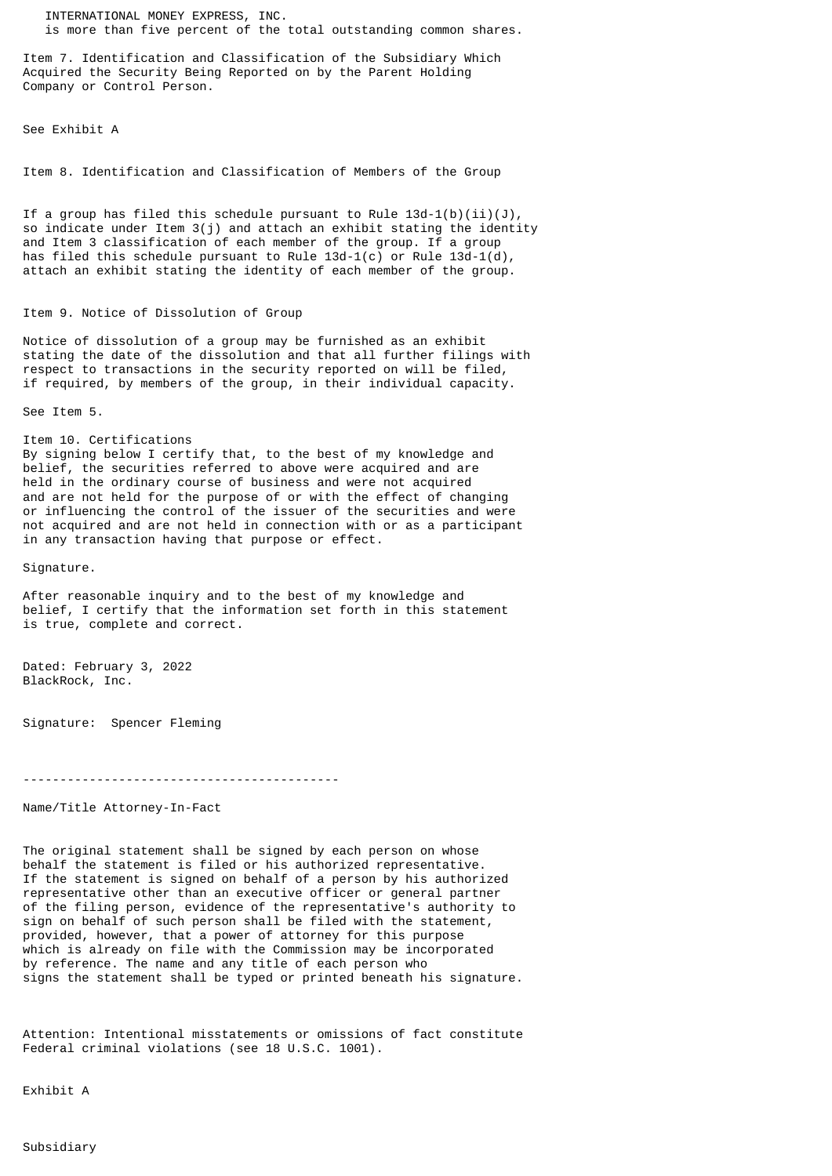INTERNATIONAL MONEY EXPRESS, INC. is more than five percent of the total outstanding common shares.

Item 7. Identification and Classification of the Subsidiary Which Acquired the Security Being Reported on by the Parent Holding Company or Control Person.

See Exhibit A

Item 8. Identification and Classification of Members of the Group

If a group has filed this schedule pursuant to Rule  $13d-1(b)(ii)(J)$ , so indicate under Item 3(j) and attach an exhibit stating the identity and Item 3 classification of each member of the group. If a group has filed this schedule pursuant to Rule  $13d-1(c)$  or Rule  $13d-1(d)$ , attach an exhibit stating the identity of each member of the group.

## Item 9. Notice of Dissolution of Group

Notice of dissolution of a group may be furnished as an exhibit stating the date of the dissolution and that all further filings with respect to transactions in the security reported on will be filed, if required, by members of the group, in their individual capacity.

See Item 5.

Item 10. Certifications By signing below I certify that, to the best of my knowledge and belief, the securities referred to above were acquired and are held in the ordinary course of business and were not acquired and are not held for the purpose of or with the effect of changing or influencing the control of the issuer of the securities and were not acquired and are not held in connection with or as a participant in any transaction having that purpose or effect.

Signature.

After reasonable inquiry and to the best of my knowledge and belief, I certify that the information set forth in this statement is true, complete and correct.

Dated: February 3, 2022 BlackRock, Inc.

Signature: Spencer Fleming

-------------------------------------------

Name/Title Attorney-In-Fact

The original statement shall be signed by each person on whose behalf the statement is filed or his authorized representative. If the statement is signed on behalf of a person by his authorized representative other than an executive officer or general partner of the filing person, evidence of the representative's authority to sign on behalf of such person shall be filed with the statement, provided, however, that a power of attorney for this purpose which is already on file with the Commission may be incorporated by reference. The name and any title of each person who signs the statement shall be typed or printed beneath his signature.

Attention: Intentional misstatements or omissions of fact constitute Federal criminal violations (see 18 U.S.C. 1001).

Exhibit A